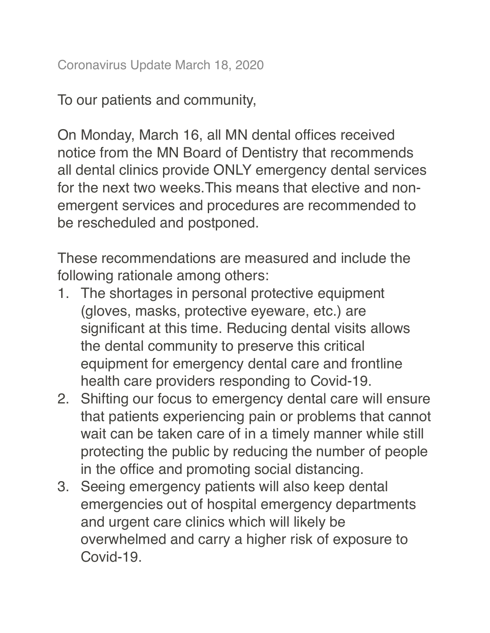To our patients and community,

On Monday, March 16, all MN dental offices received notice from the MN Board of Dentistry that recommends all dental clinics provide ONLY emergency dental services for the next two weeks.This means that elective and nonemergent services and procedures are recommended to be rescheduled and postponed.

These recommendations are measured and include the following rationale among others:

- 1. The shortages in personal protective equipment (gloves, masks, protective eyeware, etc.) are significant at this time. Reducing dental visits allows the dental community to preserve this critical equipment for emergency dental care and frontline health care providers responding to Covid-19.
- 2. Shifting our focus to emergency dental care will ensure that patients experiencing pain or problems that cannot wait can be taken care of in a timely manner while still protecting the public by reducing the number of people in the office and promoting social distancing.
- 3. Seeing emergency patients will also keep dental emergencies out of hospital emergency departments and urgent care clinics which will likely be overwhelmed and carry a higher risk of exposure to Covid-19.